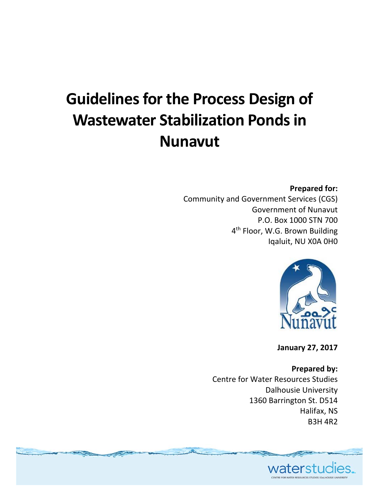# **Guidelinesfor the Process Design of Wastewater Stabilization Pondsin Nunavut**

#### **Prepared for:**

Community and Government Services (CGS) Government of Nunavut P.O. Box 1000 STN 700 4<sup>th</sup> Floor, W.G. Brown Building Iqaluit, NU X0A 0H0



**January 27, 2017**

**Prepared by:** Centre for Water Resources Studies Dalhousie University 1360 Barrington St. D514 Halifax, NS B3H 4R2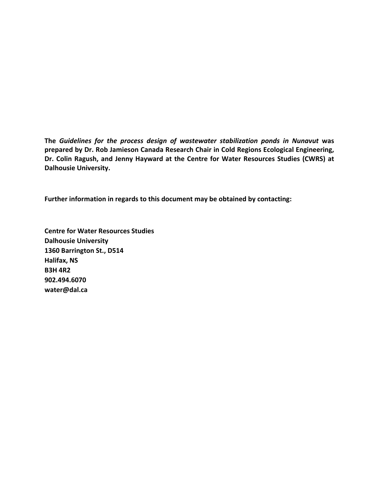**The** *Guidelines for the process design of wastewater stabilization ponds in Nunavut* **was prepared by Dr. Rob Jamieson Canada Research Chair in Cold Regions Ecological Engineering, Dr. Colin Ragush, and Jenny Hayward at the Centre for Water Resources Studies (CWRS) at Dalhousie University.** 

**Further information in regards to this document may be obtained by contacting:**

**Centre for Water Resources Studies Dalhousie University 1360 Barrington St., D514 Halifax, NS B3H 4R2 902.494.6070 water@dal.ca**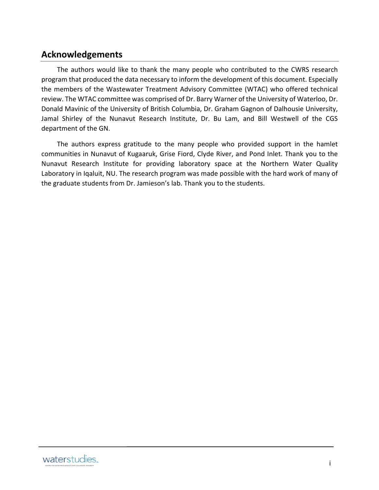#### **Acknowledgements**

The authors would like to thank the many people who contributed to the CWRS research program that produced the data necessary to inform the development of this document. Especially the members of the Wastewater Treatment Advisory Committee (WTAC) who offered technical review. The WTAC committee was comprised of Dr. Barry Warner of the University of Waterloo, Dr. Donald Mavinic of the University of British Columbia, Dr. Graham Gagnon of Dalhousie University, Jamal Shirley of the Nunavut Research Institute, Dr. Bu Lam, and Bill Westwell of the CGS department of the GN.

The authors express gratitude to the many people who provided support in the hamlet communities in Nunavut of Kugaaruk, Grise Fiord, Clyde River, and Pond Inlet. Thank you to the Nunavut Research Institute for providing laboratory space at the Northern Water Quality Laboratory in Iqaluit, NU. The research program was made possible with the hard work of many of the graduate students from Dr. Jamieson's lab. Thank you to the students.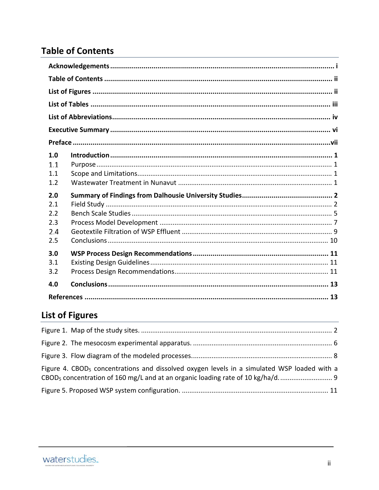### **Table of Contents**

| 1.0<br>1.1<br>1.1<br>1.2<br>2.0<br>2.1<br>2.2<br>2.3 |
|------------------------------------------------------|
| 2.4<br>2.5                                           |
| 3.0<br>3.1<br>3.2                                    |
| 4.0                                                  |
|                                                      |

## **List of Figures**

| Figure 4. CBOD <sub>5</sub> concentrations and dissolved oxygen levels in a simulated WSP loaded with a |  |
|---------------------------------------------------------------------------------------------------------|--|
|                                                                                                         |  |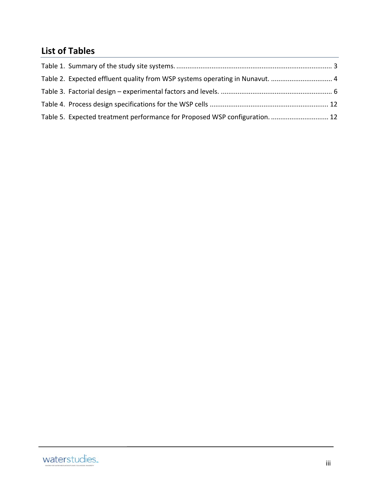### **List of Tables**

| Table 5. Expected treatment performance for Proposed WSP configuration 12 |  |
|---------------------------------------------------------------------------|--|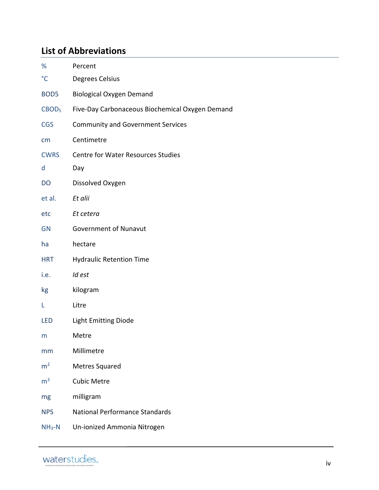### **List of Abbreviations**

| %                 | Percent                                         |
|-------------------|-------------------------------------------------|
| $\rm ^{\circ}C$   | Degrees Celsius                                 |
| BOD <sub>5</sub>  | <b>Biological Oxygen Demand</b>                 |
| CBOD <sub>5</sub> | Five-Day Carbonaceous Biochemical Oxygen Demand |
| <b>CGS</b>        | <b>Community and Government Services</b>        |
| cm                | Centimetre                                      |
| <b>CWRS</b>       | <b>Centre for Water Resources Studies</b>       |
| d                 | Day                                             |
| DO                | Dissolved Oxygen                                |
| et al.            | Et alii                                         |
| etc               | Et cetera                                       |
| <b>GN</b>         | <b>Government of Nunavut</b>                    |
| ha                | hectare                                         |
| <b>HRT</b>        | <b>Hydraulic Retention Time</b>                 |
| i.e.              | Id est                                          |
| kg                | kilogram                                        |
| Г                 | Litre                                           |
| LED               | <b>Light Emitting Diode</b>                     |
| m                 | Metre                                           |
| mm                | Millimetre                                      |
| m <sup>2</sup>    | <b>Metres Squared</b>                           |
| m <sup>3</sup>    | <b>Cubic Metre</b>                              |
| mg                | milligram                                       |
| <b>NPS</b>        | <b>National Performance Standards</b>           |
| $NH3-N$           | Un-ionized Ammonia Nitrogen                     |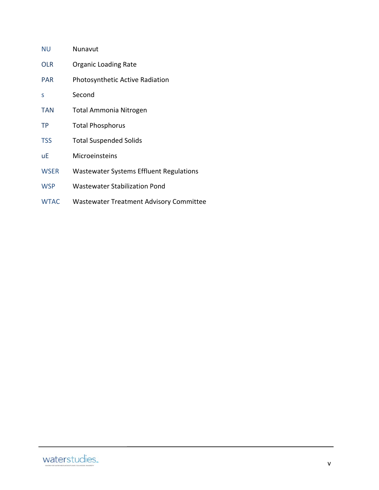| <b>NU</b>   | Nunavut                                        |
|-------------|------------------------------------------------|
| <b>OLR</b>  | <b>Organic Loading Rate</b>                    |
| <b>PAR</b>  | <b>Photosynthetic Active Radiation</b>         |
| S           | Second                                         |
| <b>TAN</b>  | Total Ammonia Nitrogen                         |
| TP          | <b>Total Phosphorus</b>                        |
| <b>TSS</b>  | <b>Total Suspended Solids</b>                  |
| uЕ          | Microeinsteins                                 |
| <b>WSER</b> | <b>Wastewater Systems Effluent Regulations</b> |
| <b>WSP</b>  | <b>Wastewater Stabilization Pond</b>           |
| <b>WTAC</b> | <b>Wastewater Treatment Advisory Committee</b> |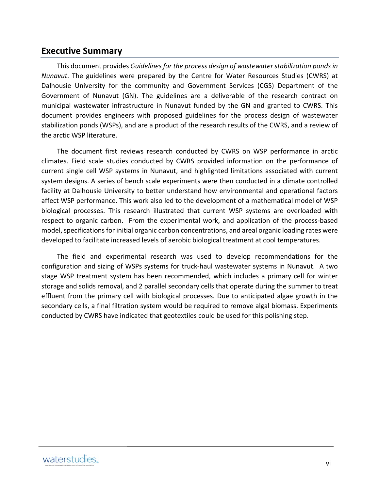#### **Executive Summary**

This document provides *Guidelines for the process design of wastewater stabilization ponds in Nunavut*. The guidelines were prepared by the Centre for Water Resources Studies (CWRS) at Dalhousie University for the community and Government Services (CGS) Department of the Government of Nunavut (GN). The guidelines are a deliverable of the research contract on municipal wastewater infrastructure in Nunavut funded by the GN and granted to CWRS. This document provides engineers with proposed guidelines for the process design of wastewater stabilization ponds (WSPs), and are a product of the research results of the CWRS, and a review of the arctic WSP literature.

The document first reviews research conducted by CWRS on WSP performance in arctic climates. Field scale studies conducted by CWRS provided information on the performance of current single cell WSP systems in Nunavut, and highlighted limitations associated with current system designs. A series of bench scale experiments were then conducted in a climate controlled facility at Dalhousie University to better understand how environmental and operational factors affect WSP performance. This work also led to the development of a mathematical model of WSP biological processes. This research illustrated that current WSP systems are overloaded with respect to organic carbon. From the experimental work, and application of the process-based model, specifications for initial organic carbon concentrations, and areal organic loading rates were developed to facilitate increased levels of aerobic biological treatment at cool temperatures.

The field and experimental research was used to develop recommendations for the configuration and sizing of WSPs systems for truck‐haul wastewater systems in Nunavut. A two stage WSP treatment system has been recommended, which includes a primary cell for winter storage and solids removal, and 2 parallel secondary cells that operate during the summer to treat effluent from the primary cell with biological processes. Due to anticipated algae growth in the secondary cells, a final filtration system would be required to remove algal biomass. Experiments conducted by CWRS have indicated that geotextiles could be used for this polishing step.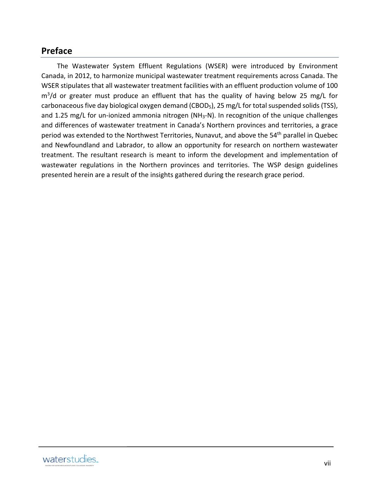#### **Preface**

The Wastewater System Effluent Regulations (WSER) were introduced by Environment Canada, in 2012, to harmonize municipal wastewater treatment requirements across Canada. The WSER stipulates that all wastewater treatment facilities with an effluent production volume of 100  $m<sup>3</sup>/d$  or greater must produce an effluent that has the quality of having below 25 mg/L for carbonaceous five day biological oxygen demand (CBOD<sub>5</sub>), 25 mg/L for total suspended solids (TSS), and 1.25 mg/L for un-ionized ammonia nitrogen (NH<sub>3</sub>-N). In recognition of the unique challenges and differences of wastewater treatment in Canada's Northern provinces and territories, a grace period was extended to the Northwest Territories, Nunavut, and above the 54<sup>th</sup> parallel in Quebec and Newfoundland and Labrador, to allow an opportunity for research on northern wastewater treatment. The resultant research is meant to inform the development and implementation of wastewater regulations in the Northern provinces and territories. The WSP design guidelines presented herein are a result of the insights gathered during the research grace period.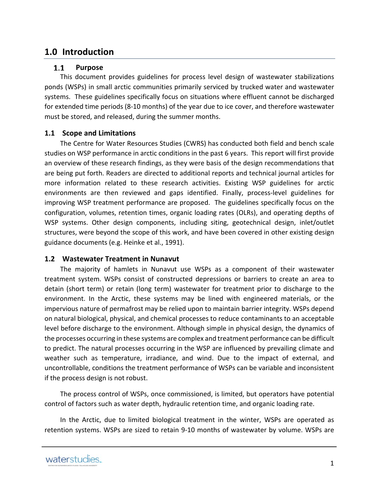#### **1.0 Introduction**

#### $1.1$ **Purpose**

This document provides guidelines for process level design of wastewater stabilizations ponds (WSPs) in small arctic communities primarily serviced by trucked water and wastewater systems. These guidelines specifically focus on situations where effluent cannot be discharged for extended time periods (8‐10 months) of the year due to ice cover, and therefore wastewater must be stored, and released, during the summer months.

#### **1.1 Scope and Limitations**

The Centre for Water Resources Studies (CWRS) has conducted both field and bench scale studies on WSP performance in arctic conditions in the past 6 years. This report will first provide an overview of these research findings, as they were basis of the design recommendations that are being put forth. Readers are directed to additional reports and technical journal articles for more information related to these research activities. Existing WSP guidelines for arctic environments are then reviewed and gaps identified. Finally, process-level guidelines for improving WSP treatment performance are proposed. The guidelines specifically focus on the configuration, volumes, retention times, organic loading rates (OLRs), and operating depths of WSP systems. Other design components, including siting, geotechnical design, inlet/outlet structures, were beyond the scope of this work, and have been covered in other existing design guidance documents (e.g. Heinke et al., 1991).

#### **1.2 Wastewater Treatment in Nunavut**

The majority of hamlets in Nunavut use WSPs as a component of their wastewater treatment system. WSPs consist of constructed depressions or barriers to create an area to detain (short term) or retain (long term) wastewater for treatment prior to discharge to the environment. In the Arctic, these systems may be lined with engineered materials, or the impervious nature of permafrost may be relied upon to maintain barrier integrity. WSPs depend on natural biological, physical, and chemical processes to reduce contaminants to an acceptable level before discharge to the environment. Although simple in physical design, the dynamics of the processes occurring in these systems are complex and treatment performance can be difficult to predict. The natural processes occurring in the WSP are influenced by prevailing climate and weather such as temperature, irradiance, and wind. Due to the impact of external, and uncontrollable, conditions the treatment performance of WSPs can be variable and inconsistent if the process design is not robust.

The process control of WSPs, once commissioned, is limited, but operators have potential control of factors such as water depth, hydraulic retention time, and organic loading rate.

In the Arctic, due to limited biological treatment in the winter, WSPs are operated as retention systems. WSPs are sized to retain 9‐10 months of wastewater by volume. WSPs are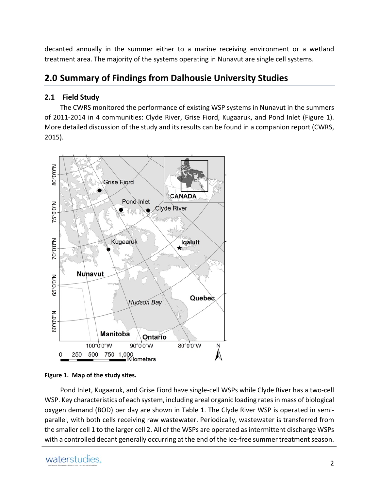decanted annually in the summer either to a marine receiving environment or a wetland treatment area. The majority of the systems operating in Nunavut are single cell systems.

### **2.0 Summary of Findings from Dalhousie University Studies**

#### **2.1 Field Study**

The CWRS monitored the performance of existing WSP systems in Nunavut in the summers of 2011-2014 in 4 communities: Clyde River, Grise Fiord, Kugaaruk, and Pond Inlet (Figure 1). More detailed discussion of the study and its results can be found in a companion report (CWRS, 2015).



**Figure 1. Map of the study sites.**

Pond Inlet, Kugaaruk, and Grise Fiord have single‐cell WSPs while Clyde River has a two‐cell WSP. Key characteristics of each system, including areal organic loading ratesin mass of biological oxygen demand (BOD) per day are shown in Table 1. The Clyde River WSP is operated in semi‐ parallel, with both cells receiving raw wastewater. Periodically, wastewater is transferred from the smaller cell 1 to the larger cell 2. All of the WSPs are operated as intermittent discharge WSPs with a controlled decant generally occurring at the end of the ice-free summer treatment season.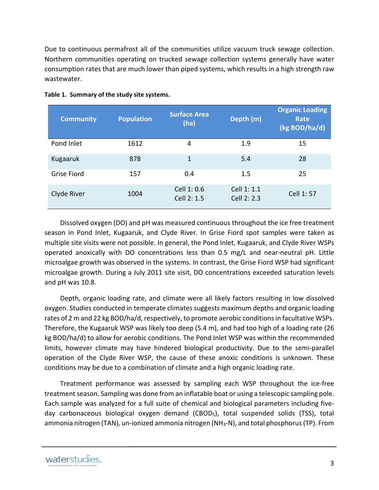Due to continuous permafrost all of the communities utilize vacuum truck sewage collection. Northern communities operating on trucked sewage collection systems generally have water consumption rates that are much lower than piped systems, which results in a high strength raw wastewater.

| <b>Community</b>   | <b>Population</b> | <b>Surface Area</b><br>(ha) | Depth (m)                  | <b>Organic Loading</b><br>Rate<br>(kg BOD/ha/d) |
|--------------------|-------------------|-----------------------------|----------------------------|-------------------------------------------------|
| Pond Inlet         | 1612              | 4                           | 1.9                        | 15                                              |
| Kugaaruk           | 878               | 1                           | 5.4                        | 28                                              |
| <b>Grise Fiord</b> | 157               | 0.4                         | 1.5                        | 25                                              |
| Clyde River        | 1004              | Cell 1: 0.6<br>Cell 2: 1.5  | Cell 1: 1.1<br>Cell 2: 2.3 | Cell 1:57                                       |

#### **Table 1. Summary of the study site systems.**

Dissolved oxygen (DO) and pH was measured continuous throughout the ice free treatment season in Pond Inlet, Kugaaruk, and Clyde River. In Grise Fiord spot samples were taken as multiple site visits were not possible. In general, the Pond Inlet, Kugaaruk, and Clyde River WSPs operated anoxically with DO concentrations less than 0.5 mg/L and near‐neutral pH. Little microalgae growth was observed in the systems. In contrast, the Grise Fiord WSP had significant microalgae growth. During a July 2011 site visit, DO concentrations exceeded saturation levels and pH was 10.8.

Depth, organic loading rate, and climate were all likely factors resulting in low dissolved oxygen. Studies conducted in temperate climates suggests maximum depths and organic loading rates of 2 m and 22 kg BOD/ha/d, respectively, to promote aerobic conditions in facultative WSPs. Therefore, the Kugaaruk WSP was likely too deep (5.4 m), and had too high of a loading rate (26 kg BOD/ha/d) to allow for aerobic conditions. The Pond Inlet WSP was within the recommended limits, however climate may have hindered biological productivity. Due to the semi-parallel operation of the Clyde River WSP, the cause of these anoxic conditions is unknown. These conditions may be due to a combination of climate and a high organic loading rate.

Treatment performance was assessed by sampling each WSP throughout the ice‐free treatment season. Sampling was done from an inflatable boat or using a telescopic sampling pole. Each sample was analyzed for a full suite of chemical and biological parameters including five‐ day carbonaceous biological oxygen demand (CBOD5), total suspended solids (TSS), total ammonia nitrogen (TAN), un-ionized ammonia nitrogen (NH<sub>3</sub>-N), and total phosphorus (TP). From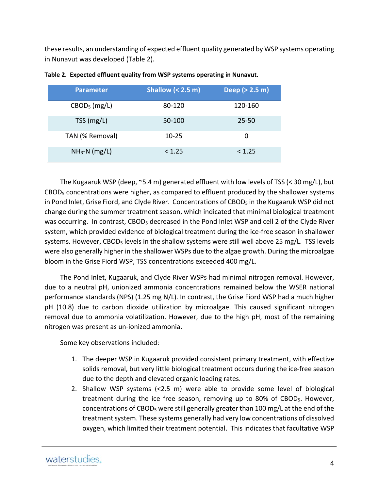these results, an understanding of expected effluent quality generated by WSP systems operating in Nunavut was developed (Table 2).

| <b>Parameter</b> | Shallow $(2.5 \, \text{m})$ | Deep (> 2.5 m) |
|------------------|-----------------------------|----------------|
| $CBOD5$ (mg/L)   | 80-120                      | 120-160        |
| $TSS$ (mg/L)     | 50-100                      | $25 - 50$      |
| TAN (% Removal)  | $10 - 25$                   | 0              |
| $NH3-N$ (mg/L)   | < 1.25                      | < 1.25         |

|  |  |  |  |  |  |  |  | Table 2. Expected effluent quality from WSP systems operating in Nunavut. |  |  |
|--|--|--|--|--|--|--|--|---------------------------------------------------------------------------|--|--|
|--|--|--|--|--|--|--|--|---------------------------------------------------------------------------|--|--|

The Kugaaruk WSP (deep, ~5.4 m) generated effluent with low levels of TSS (< 30 mg/L), but CBOD5 concentrations were higher, as compared to effluent produced by the shallower systems in Pond Inlet, Grise Fiord, and Clyde River. Concentrations of CBOD $_5$  in the Kugaaruk WSP did not change during the summer treatment season, which indicated that minimal biological treatment was occurring. In contrast, CBOD<sub>5</sub> decreased in the Pond Inlet WSP and cell 2 of the Clyde River system, which provided evidence of biological treatment during the ice-free season in shallower systems. However, CBOD<sub>5</sub> levels in the shallow systems were still well above 25 mg/L. TSS levels were also generally higher in the shallower WSPs due to the algae growth. During the microalgae bloom in the Grise Fiord WSP, TSS concentrations exceeded 400 mg/L.

The Pond Inlet, Kugaaruk, and Clyde River WSPs had minimal nitrogen removal. However, due to a neutral pH, unionized ammonia concentrations remained below the WSER national performance standards (NPS) (1.25 mg N/L). In contrast, the Grise Fiord WSP had a much higher pH (10.8) due to carbon dioxide utilization by microalgae. This caused significant nitrogen removal due to ammonia volatilization. However, due to the high pH, most of the remaining nitrogen was present as un‐ionized ammonia.

Some key observations included:

- 1. The deeper WSP in Kugaaruk provided consistent primary treatment, with effective solids removal, but very little biological treatment occurs during the ice-free season due to the depth and elevated organic loading rates.
- 2. Shallow WSP systems (<2.5 m) were able to provide some level of biological treatment during the ice free season, removing up to 80% of CBOD<sub>5</sub>. However, concentrations of CBOD5 were still generally greater than 100 mg/L at the end of the treatment system. These systems generally had very low concentrations of dissolved oxygen, which limited their treatment potential. This indicates that facultative WSP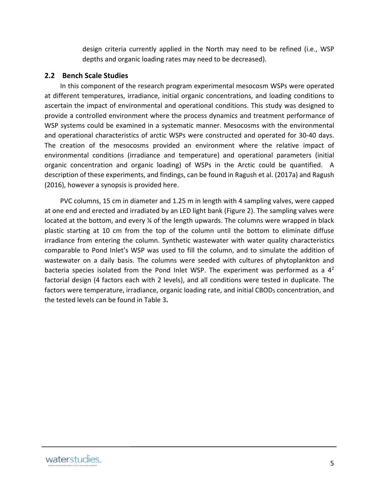design criteria currently applied in the North may need to be refined (i.e., WSP depths and organic loading rates may need to be decreased).

#### **2.2 Bench Scale Studies**

In this component of the research program experimental mesocosm WSPs were operated at different temperatures, irradiance, initial organic concentrations, and loading conditions to ascertain the impact of environmental and operational conditions. This study was designed to provide a controlled environment where the process dynamics and treatment performance of WSP systems could be examined in a systematic manner. Mesocosms with the environmental and operational characteristics of arctic WSPs were constructed and operated for 30‐40 days. The creation of the mesocosms provided an environment where the relative impact of environmental conditions (irradiance and temperature) and operational parameters (initial organic concentration and organic loading) of WSPs in the Arctic could be quantified. A description of these experiments, and findings, can be found in Ragush et al. (2017a) and Ragush (2016), however a synopsis is provided here.

PVC columns, 15 cm in diameter and 1.25 m in length with 4 sampling valves, were capped at one end and erected and irradiated by an LED light bank (Figure 2). The sampling valves were located at the bottom, and every % of the length upwards. The columns were wrapped in black plastic starting at 10 cm from the top of the column until the bottom to eliminate diffuse irradiance from entering the column. Synthetic wastewater with water quality characteristics comparable to Pond Inlet's WSP was used to fill the column, and to simulate the addition of wastewater on a daily basis. The columns were seeded with cultures of phytoplankton and bacteria species isolated from the Pond Inlet WSP. The experiment was performed as a  $4<sup>2</sup>$ factorial design (4 factors each with 2 levels), and all conditions were tested in duplicate. The factors were temperature, irradiance, organic loading rate, and initial CBOD<sub>5</sub> concentration, and the tested levels can be found in Table 3**.**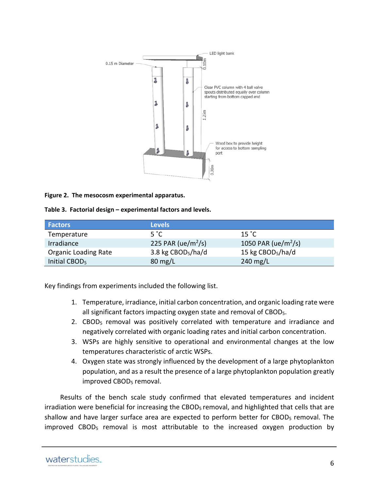

**Figure 2. The mesocosm experimental apparatus.**

**Table 3. Factorial design – experimental factors and levels.**

| <b>Factors</b>              | <b>Levels</b>                  |                                 |
|-----------------------------|--------------------------------|---------------------------------|
| Temperature                 | 5 °C                           | $15 \degree C$                  |
| Irradiance                  | 225 PAR (ue/m <sup>2</sup> /s) | 1050 PAR (ue/m <sup>2</sup> /s) |
| <b>Organic Loading Rate</b> | 3.8 kg $CBOD5/ha/d$            | 15 kg CBOD <sub>5</sub> /ha/d   |
| Initial CBOD <sub>5</sub>   | $80 \text{ mg/L}$              | 240 $mg/L$                      |

Key findings from experiments included the following list.

- 1. Temperature, irradiance, initial carbon concentration, and organic loading rate were all significant factors impacting oxygen state and removal of CBOD<sub>5</sub>.
- 2. CBOD5 removal was positively correlated with temperature and irradiance and negatively correlated with organic loading rates and initial carbon concentration.
- 3. WSPs are highly sensitive to operational and environmental changes at the low temperatures characteristic of arctic WSPs.
- 4. Oxygen state was strongly influenced by the development of a large phytoplankton population, and as a result the presence of a large phytoplankton population greatly improved CBOD<sub>5</sub> removal.

Results of the bench scale study confirmed that elevated temperatures and incident irradiation were beneficial for increasing the CBOD<sub>5</sub> removal, and highlighted that cells that are shallow and have larger surface area are expected to perform better for CBOD<sub>5</sub> removal. The improved CBOD<sub>5</sub> removal is most attributable to the increased oxygen production by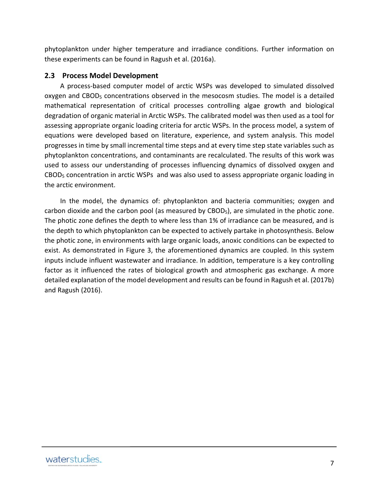phytoplankton under higher temperature and irradiance conditions. Further information on these experiments can be found in Ragush et al. (2016a).

#### **2.3 Process Model Development**

A process‐based computer model of arctic WSPs was developed to simulated dissolved oxygen and  $CBOD<sub>5</sub>$  concentrations observed in the mesocosm studies. The model is a detailed mathematical representation of critical processes controlling algae growth and biological degradation of organic material in Arctic WSPs. The calibrated model was then used as a tool for assessing appropriate organic loading criteria for arctic WSPs. In the process model, a system of equations were developed based on literature, experience, and system analysis. This model progresses in time by small incremental time steps and at every time step state variables such as phytoplankton concentrations, and contaminants are recalculated. The results of this work was used to assess our understanding of processes influencing dynamics of dissolved oxygen and CBOD5 concentration in arctic WSPs and was also used to assess appropriate organic loading in the arctic environment.

In the model, the dynamics of: phytoplankton and bacteria communities; oxygen and carbon dioxide and the carbon pool (as measured by CBOD5), are simulated in the photic zone. The photic zone defines the depth to where less than 1% of irradiance can be measured, and is the depth to which phytoplankton can be expected to actively partake in photosynthesis. Below the photic zone, in environments with large organic loads, anoxic conditions can be expected to exist. As demonstrated in Figure 3, the aforementioned dynamics are coupled. In this system inputs include influent wastewater and irradiance. In addition, temperature is a key controlling factor as it influenced the rates of biological growth and atmospheric gas exchange. A more detailed explanation of the model development and results can be found in Ragush et al. (2017b) and Ragush (2016).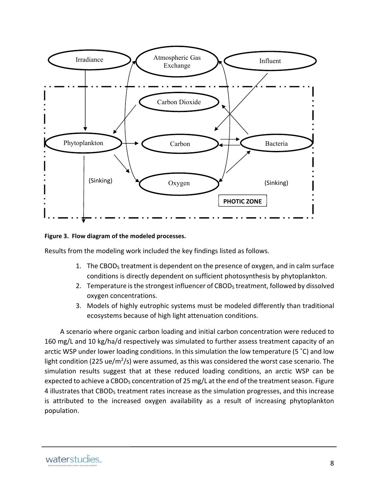

**Figure 3. Flow diagram of the modeled processes.**

Results from the modeling work included the key findings listed as follows.

- 1. The CBOD<sub>5</sub> treatment is dependent on the presence of oxygen, and in calm surface conditions is directly dependent on sufficient photosynthesis by phytoplankton.
- 2. Temperature is the strongest influencer of CBOD<sub>5</sub> treatment, followed by dissolved oxygen concentrations.
- 3. Models of highly eutrophic systems must be modeled differently than traditional ecosystems because of high light attenuation conditions.

A scenario where organic carbon loading and initial carbon concentration were reduced to 160 mg/L and 10 kg/ha/d respectively was simulated to further assess treatment capacity of an arctic WSP under lower loading conditions. In this simulation the low temperature (5 °C) and low light condition (225 ue/m<sup>2</sup>/s) were assumed, as this was considered the worst case scenario. The simulation results suggest that at these reduced loading conditions, an arctic WSP can be expected to achieve a CBOD<sub>5</sub> concentration of 25 mg/L at the end of the treatment season. Figure 4 illustrates that CBOD<sub>5</sub> treatment rates increase as the simulation progresses, and this increase is attributed to the increased oxygen availability as a result of increasing phytoplankton population.

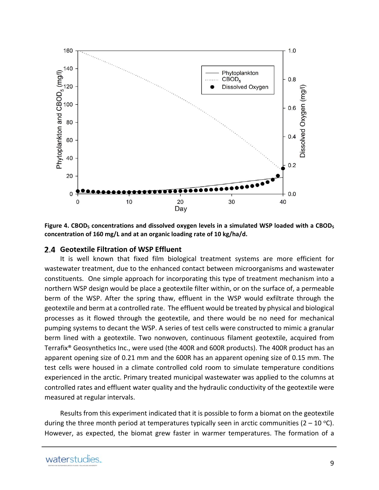

**Figure 4. CBOD5 concentrations and dissolved oxygen levels in a simulated WSP loaded with a CBOD5 concentration of 160 mg/L and at an organic loading rate of 10 kg/ha/d.**

#### **Geotextile Filtration of WSP Effluent**

It is well known that fixed film biological treatment systems are more efficient for wastewater treatment, due to the enhanced contact between microorganisms and wastewater constituents. One simple approach for incorporating this type of treatment mechanism into a northern WSP design would be place a geotextile filter within, or on the surface of, a permeable berm of the WSP. After the spring thaw, effluent in the WSP would exfiltrate through the geotextile and berm at a controlled rate. The effluent would be treated by physical and biological processes as it flowed through the geotextile, and there would be no need for mechanical pumping systems to decant the WSP. A series of test cells were constructed to mimic a granular berm lined with a geotextile. Two nonwoven, continuous filament geotextile, acquired from Terrafix® Geosynthetics Inc., were used (the 400R and 600R products). The 400R product has an apparent opening size of 0.21 mm and the 600R has an apparent opening size of 0.15 mm. The test cells were housed in a climate controlled cold room to simulate temperature conditions experienced in the arctic. Primary treated municipal wastewater was applied to the columns at controlled rates and effluent water quality and the hydraulic conductivity of the geotextile were measured at regular intervals.

Results from this experiment indicated that it is possible to form a biomat on the geotextile during the three month period at temperatures typically seen in arctic communities ( $2 - 10$  °C). However, as expected, the biomat grew faster in warmer temperatures. The formation of a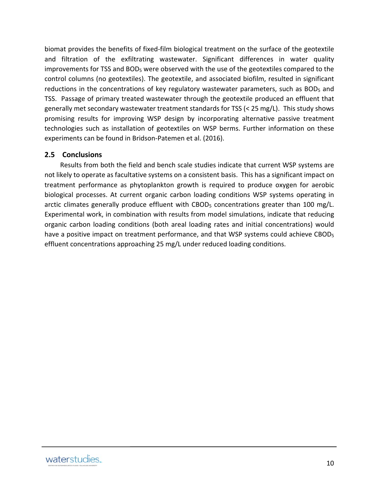biomat provides the benefits of fixed‐film biological treatment on the surface of the geotextile and filtration of the exfiltrating wastewater. Significant differences in water quality improvements for TSS and BOD5 were observed with the use of the geotextiles compared to the control columns (no geotextiles). The geotextile, and associated biofilm, resulted in significant reductions in the concentrations of key regulatory wastewater parameters, such as BOD<sub>5</sub> and TSS. Passage of primary treated wastewater through the geotextile produced an effluent that generally met secondary wastewater treatment standards for TSS (< 25 mg/L). This study shows promising results for improving WSP design by incorporating alternative passive treatment technologies such as installation of geotextiles on WSP berms. Further information on these experiments can be found in Bridson‐Patemen et al. (2016).

#### **2.5 Conclusions**

Results from both the field and bench scale studies indicate that current WSP systems are not likely to operate as facultative systems on a consistent basis. This has a significant impact on treatment performance as phytoplankton growth is required to produce oxygen for aerobic biological processes. At current organic carbon loading conditions WSP systems operating in arctic climates generally produce effluent with CBOD<sub>5</sub> concentrations greater than 100 mg/L. Experimental work, in combination with results from model simulations, indicate that reducing organic carbon loading conditions (both areal loading rates and initial concentrations) would have a positive impact on treatment performance, and that WSP systems could achieve CBOD<sub>5</sub> effluent concentrations approaching 25 mg/L under reduced loading conditions.

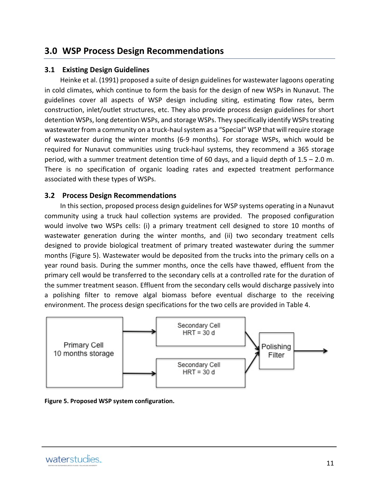#### **3.0 WSP Process Design Recommendations**

#### **3.1 Existing Design Guidelines**

Heinke et al. (1991) proposed a suite of design guidelines for wastewater lagoons operating in cold climates, which continue to form the basis for the design of new WSPs in Nunavut. The guidelines cover all aspects of WSP design including siting, estimating flow rates, berm construction, inlet/outlet structures, etc. They also provide process design guidelines for short detention WSPs, long detention WSPs, and storage WSPs. They specifically identify WSPs treating wastewater from a community on a truck-haul system as a "Special" WSP that will require storage of wastewater during the winter months (6‐9 months). For storage WSPs, which would be required for Nunavut communities using truck‐haul systems, they recommend a 365 storage period, with a summer treatment detention time of 60 days, and a liquid depth of 1.5 – 2.0 m. There is no specification of organic loading rates and expected treatment performance associated with these types of WSPs.

#### **3.2 Process Design Recommendations**

In this section, proposed process design guidelines for WSP systems operating in a Nunavut community using a truck haul collection systems are provided. The proposed configuration would involve two WSPs cells: (i) a primary treatment cell designed to store 10 months of wastewater generation during the winter months, and (ii) two secondary treatment cells designed to provide biological treatment of primary treated wastewater during the summer months (Figure 5). Wastewater would be deposited from the trucks into the primary cells on a year round basis. During the summer months, once the cells have thawed, effluent from the primary cell would be transferred to the secondary cells at a controlled rate for the duration of the summer treatment season. Effluent from the secondary cells would discharge passively into a polishing filter to remove algal biomass before eventual discharge to the receiving environment. The process design specifications for the two cells are provided in Table 4.



**Figure 5. Proposed WSP system configuration.**

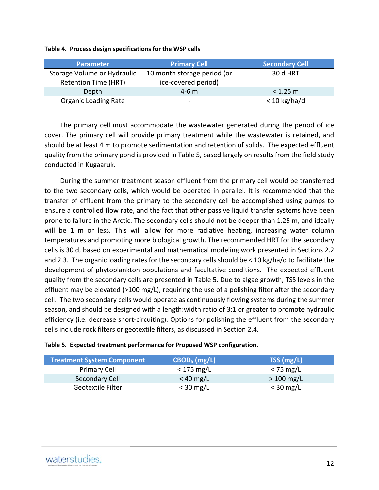| <b>Parameter</b>                                           | <b>Primary Cell</b>                                | <b>Secondary Cell</b> |
|------------------------------------------------------------|----------------------------------------------------|-----------------------|
| Storage Volume or Hydraulic<br><b>Retention Time (HRT)</b> | 10 month storage period (or<br>ice-covered period) | <b>30 d HRT</b>       |
| Depth                                                      | $4 - 6$ m                                          | $< 1.25$ m            |
| <b>Organic Loading Rate</b>                                | $\overline{\phantom{a}}$                           | $<$ 10 kg/ha/d        |

#### **Table 4. Process design specifications for the WSP cells**

The primary cell must accommodate the wastewater generated during the period of ice cover. The primary cell will provide primary treatment while the wastewater is retained, and should be at least 4 m to promote sedimentation and retention of solids. The expected effluent quality from the primary pond is provided in Table 5, based largely on resultsfrom the field study conducted in Kugaaruk.

During the summer treatment season effluent from the primary cell would be transferred to the two secondary cells, which would be operated in parallel. It is recommended that the transfer of effluent from the primary to the secondary cell be accomplished using pumps to ensure a controlled flow rate, and the fact that other passive liquid transfer systems have been prone to failure in the Arctic. The secondary cells should not be deeper than 1.25 m, and ideally will be 1 m or less. This will allow for more radiative heating, increasing water column temperatures and promoting more biological growth. The recommended HRT for the secondary cells is 30 d, based on experimental and mathematical modeling work presented in Sections 2.2 and 2.3. The organic loading rates for the secondary cells should be < 10 kg/ha/d to facilitate the development of phytoplankton populations and facultative conditions. The expected effluent quality from the secondary cells are presented in Table 5. Due to algae growth, TSS levels in the effluent may be elevated (>100 mg/L), requiring the use of a polishing filter after the secondary cell. The two secondary cells would operate as continuously flowing systems during the summer season, and should be designed with a length:width ratio of 3:1 or greater to promote hydraulic efficiency (i.e. decrease short-circuiting). Options for polishing the effluent from the secondary cells include rock filters or geotextile filters, as discussed in Section 2.4.

| <b>Treatment System Component</b> | $CBOD5$ (mg/L) | TSS (mg/L)  |
|-----------------------------------|----------------|-------------|
| Primary Cell                      | $<$ 175 mg/L   | $<$ 75 mg/L |
| Secondary Cell                    | $< 40$ mg/L    | $>100$ mg/L |
| Geotextile Filter                 | $<$ 30 mg/L    | $<$ 30 mg/L |

#### **Table 5. Expected treatment performance for Proposed WSP configuration.**

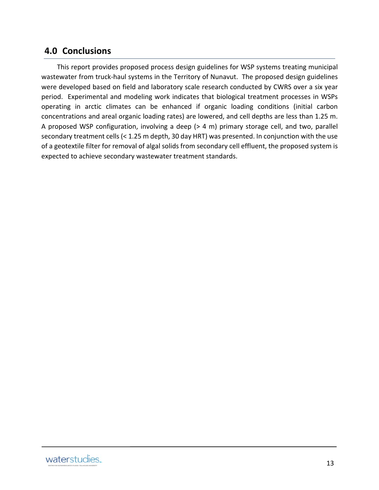#### **4.0 Conclusions**

This report provides proposed process design guidelines for WSP systems treating municipal wastewater from truck-haul systems in the Territory of Nunavut. The proposed design guidelines were developed based on field and laboratory scale research conducted by CWRS over a six year period. Experimental and modeling work indicates that biological treatment processes in WSPs operating in arctic climates can be enhanced if organic loading conditions (initial carbon concentrations and areal organic loading rates) are lowered, and cell depths are less than 1.25 m. A proposed WSP configuration, involving a deep (> 4 m) primary storage cell, and two, parallel secondary treatment cells (< 1.25 m depth, 30 day HRT) was presented. In conjunction with the use of a geotextile filter for removal of algal solids from secondary cell effluent, the proposed system is expected to achieve secondary wastewater treatment standards.